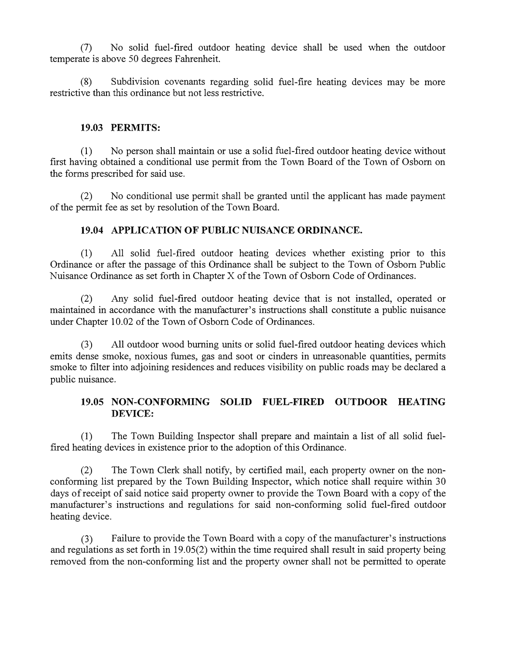(7) No solid fuel-fired outdoor heating device shall be used when the outdoor temperate is above 50 degrees Fahrenheit.

(8) Subdivision covenants regarding solid fuel-fire heating devices may be more restrictive than this ordinance but not less restrictive.

### **19.03 PERMITS:**

(1) No person shall maintain or use a solid fuel-fired outdoor heating device without first having obtained a conditional use permit from the Town Board of the Town of Osborn on the forms prescribed for said use.

(2) No conditional use permit shall be granted until the applicant has made payment of the permit fee as set by resolution of the Town Board.

# **19.04 APPLICATION OF PUBLIC NUISANCE ORDINANCE.**

(1) All solid fuel-fired outdoor heating devices whether existing prior to this Ordinance or after the passage of this Ordinance shall be subject to the Town of Osborn Public Nuisance Ordinance as set forth in Chapter X of the Town of Osborn Code of Ordinances.

(2) Any solid fuel-fired outdoor heating device that is not installed, operated or maintained in accordance with the manufacturer's instructions shall constitute a public nuisance under Chapter 10.02 of the Town of Osborn Code of Ordinances.

(3) All outdoor wood burning units or solid fuel-fired outdoor heating devices which emits dense smoke, noxious fumes, gas and soot or cinders in unreasonable quantities, permits smoke to filter into adjoining residences and reduces visibility on public roads may be declared a public nuisance.

# **19.05 NON-CONFORMING SOLID FUEL-FIRED OUTDOOR HEATING DEVICE:**

(1) The Town Building Inspector shall prepare and maintain a list of all solid fuelfired heating devices in existence prior to the adoption of this Ordinance.

(2) The Town Clerk shall notify, by certified mail, each property owner on the nonconforming list prepared by the Town Building Inspector, which notice shall require within 30 days of receipt of said notice said property owner to provide the Town Board with a copy of the manufacturer's instructions and regulations for said non-conforming solid fuel-fired outdoor heating device.

(3) Failure to provide the Town Board with a copy of the manufacturer's instructions and regulations as set forth in 19.05(2) within the time required shall result in said property being removed from the non-conforming list and the property owner shall not be permitted to operate